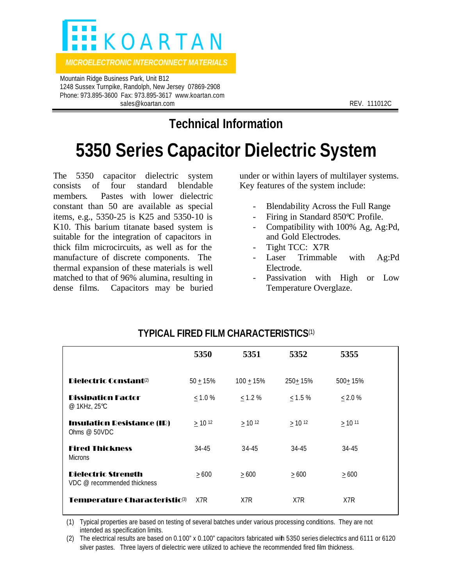

*MICROELECTRONIC INTERCONNECT MATERIALS* 

 Mountain Ridge Business Park, Unit B12 1248 Sussex Turnpike, Randolph, New Jersey 07869-2908 Phone: 973.895-3600 Fax: 973.895-3617 www.koartan.com sales@koartan.com **REV. 111012C** 

**Technical Information**

## **5350 Series Capacitor Dielectric System**

The 5350 capacitor dielectric system consists of four standard blendable members. Pastes with lower dielectric constant than 50 are available as special items, e.g., 5350-25 is K25 and 5350-10 is K10. This barium titanate based system is suitable for the integration of capacitors in thick film microcircuits, as well as for the manufacture of discrete components. The thermal expansion of these materials is well matched to that of 96% alumina, resulting in dense films. Capacitors may be buried under or within layers of multilayer systems. Key features of the system include:

- Blendability Across the Full Range
- Firing in Standard 850°C Profile.
- Compatibility with 100% Ag, Ag:Pd, and Gold Electrodes.
- Tight TCC: X7R
- Laser Trimmable with Ag:Pd Electrode.
- Passivation with High or Low Temperature Overglaze.

|                                                           | 5350                 | 5351         | 5352                    | 5355       |
|-----------------------------------------------------------|----------------------|--------------|-------------------------|------------|
| Dielectric Constant <sup>(2)</sup>                        | $50 + 15%$           | $100 + 15%$  | 250+15%                 | 500+15%    |
| <b>Dissipation Factor</b><br>@ 1KHz, 25°C                 | < 1.0 %              | $\leq$ 1.2 % | $\leq$ 1.5 %            | < 2.0 %    |
| <b>Insulation Resistance (IR)</b><br>Ohms $@$ 50VDC       | $>$ 10 <sup>12</sup> | $> 10^{12}$  | $\geq$ 10 <sup>12</sup> | $>10^{11}$ |
| <b>Fired Thickness</b><br><b>Microns</b>                  | 34-45                | $34 - 45$    | 34-45                   | 34-45      |
| <b>Dielectric Strength</b><br>VDC @ recommended thickness | >600                 | $\geq 600$   | $\geq 600$              | $\geq 600$ |
| Temperature Characteristic®                               | X7R                  | X7R          | X7R                     | X7R        |

## **TYPICAL FIRED FILM CHARACTERISTICS**(1)

(1) Typical properties are based on testing of several batches under various processing conditions. They are not intended as specification limits.

(2) The electrical results are based on 0.100" x 0.100" capacitors fabricated with 5350 series dielectrics and 6111 or 6120 silver pastes. Three layers of dielectric were utilized to achieve the recommended fired film thickness.